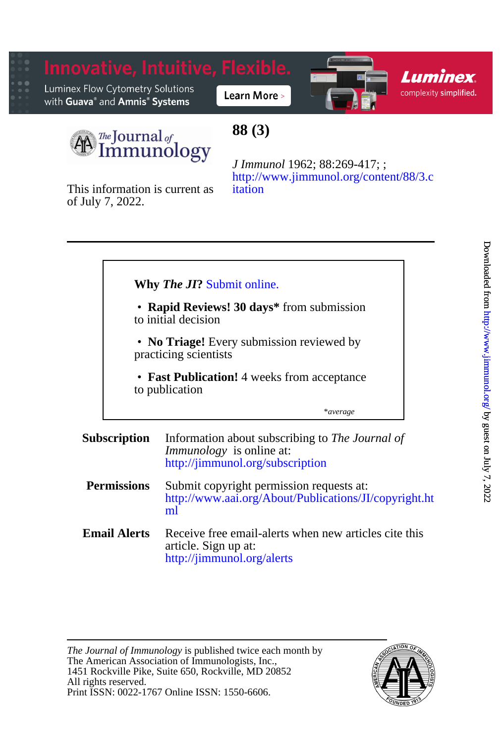



## **88 (3)**

of July 7, 2022. This information is current as [itation](http://www.jimmunol.org/content/88/3.citation) [http://www.jimmunol.org/content/88/3.c](http://www.jimmunol.org/content/88/3.citation) *J Immunol* 1962; 88:269-417; ;

#### \**average* to publication • **Fast Publication!** 4 weeks from acceptance Ī practicing scientists • **No Triage!** Every submission reviewed by to initial decision • **Rapid Reviews! 30 days\*** from submission **Why** *The JI***?** [Submit online.](https://ji.msubmit.net) **Subscription** <http://jimmunol.org/subscription> *Immunology* is online at: Information about subscribing to *The Journal of*

- **Permissions** [ml](http://www.aai.org/About/Publications/JI/copyright.html) [http://www.aai.org/About/Publications/JI/copyright.ht](http://www.aai.org/About/Publications/JI/copyright.html) Submit copyright permission requests at:
- **Email Alerts** <http://jimmunol.org/alerts> article. Sign up at: Receive free email-alerts when new articles cite this